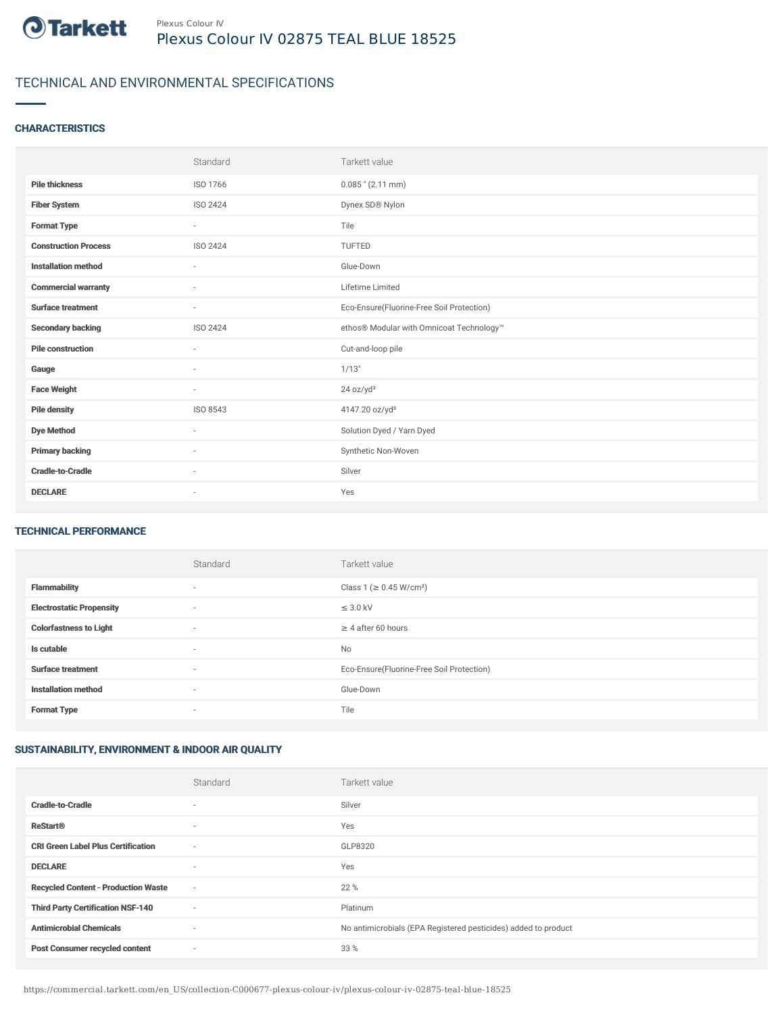

# TECHNICAL AND ENVIRONMENTAL SPECIFICATIONS

## **CHARACTERISTICS**

|                             | Standard                 | Tarkett value                             |
|-----------------------------|--------------------------|-------------------------------------------|
| <b>Pile thickness</b>       | ISO 1766                 | $0.085$ " (2.11 mm)                       |
| <b>Fiber System</b>         | ISO 2424                 | Dynex SD® Nylon                           |
| <b>Format Type</b>          | $\sim$                   | Tile                                      |
| <b>Construction Process</b> | ISO 2424                 | TUFTED                                    |
| <b>Installation method</b>  | $\overline{\phantom{a}}$ | Glue-Down                                 |
| <b>Commercial warranty</b>  | $\sim$                   | Lifetime Limited                          |
| <b>Surface treatment</b>    | $\sim$                   | Eco-Ensure(Fluorine-Free Soil Protection) |
| <b>Secondary backing</b>    | ISO 2424                 | ethos® Modular with Omnicoat Technology™  |
| <b>Pile construction</b>    | $\sim$                   | Cut-and-loop pile                         |
| Gauge                       | $\sim$                   | 1/13"                                     |
| <b>Face Weight</b>          | $\sim$                   | 24 oz/yd <sup>2</sup>                     |
| <b>Pile density</b>         | ISO 8543                 | 4147.20 oz/yd <sup>3</sup>                |
| <b>Dye Method</b>           | ٠                        | Solution Dyed / Yarn Dyed                 |
| <b>Primary backing</b>      | ٠                        | Synthetic Non-Woven                       |
| <b>Cradle-to-Cradle</b>     | $\sim$                   | Silver                                    |
| <b>DECLARE</b>              | $\overline{\phantom{a}}$ | Yes                                       |

#### TECHNICAL PERFORMANCE

|                                 | Standard | Tarkett value                             |
|---------------------------------|----------|-------------------------------------------|
| <b>Flammability</b>             | $\sim$   | Class 1 (≥ 0.45 W/cm <sup>2</sup> )       |
| <b>Electrostatic Propensity</b> | ٠        | $\leq$ 3.0 kV                             |
| <b>Colorfastness to Light</b>   | $\sim$   | $\geq$ 4 after 60 hours                   |
| Is cutable                      | ٠        | No                                        |
| <b>Surface treatment</b>        | ٠        | Eco-Ensure(Fluorine-Free Soil Protection) |
| <b>Installation method</b>      | $\sim$   | Glue-Down                                 |
| <b>Format Type</b>              | ٠        | Tile                                      |

# SUSTAINABILITY, ENVIRONMENT & INDOOR AIR QUALITY

|                                            | Standard                 | Tarkett value                                                  |
|--------------------------------------------|--------------------------|----------------------------------------------------------------|
| <b>Cradle-to-Cradle</b>                    | $\overline{\phantom{a}}$ | Silver                                                         |
| <b>ReStart®</b>                            | $\overline{\phantom{a}}$ | Yes                                                            |
| <b>CRI Green Label Plus Certification</b>  | $\sim$                   | GLP8320                                                        |
| <b>DECLARE</b>                             | $\overline{\phantom{a}}$ | Yes                                                            |
| <b>Recycled Content - Production Waste</b> | $\sim$                   | 22 %                                                           |
| <b>Third Party Certification NSF-140</b>   | $\sim$                   | Platinum                                                       |
| <b>Antimicrobial Chemicals</b>             | $\overline{\phantom{a}}$ | No antimicrobials (EPA Registered pesticides) added to product |
| <b>Post Consumer recycled content</b>      | ٠                        | 33 %                                                           |